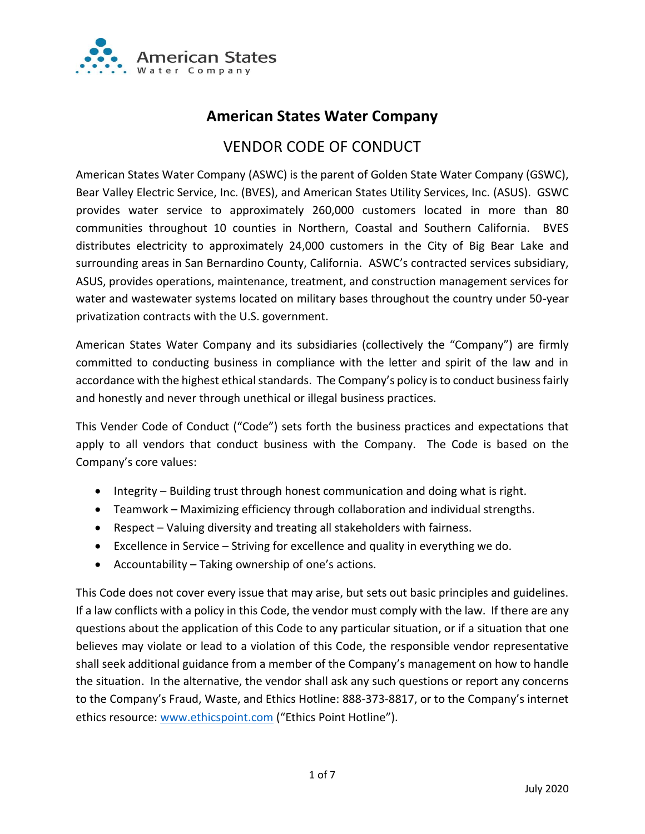

# **American States Water Company**

# VENDOR CODE OF CONDUCT

American States Water Company (ASWC) is the parent of Golden State Water Company (GSWC), Bear Valley Electric Service, Inc. (BVES), and American States Utility Services, Inc. (ASUS). GSWC provides water service to approximately 260,000 customers located in more than 80 communities throughout 10 counties in Northern, Coastal and Southern California. BVES distributes electricity to approximately 24,000 customers in the City of Big Bear Lake and surrounding areas in San Bernardino County, California. ASWC's contracted services subsidiary, ASUS, provides operations, maintenance, treatment, and construction management services for water and wastewater systems located on military bases throughout the country under 50-year privatization contracts with the U.S. government.

American States Water Company and its subsidiaries (collectively the "Company") are firmly committed to conducting business in compliance with the letter and spirit of the law and in accordance with the highest ethical standards. The Company's policy is to conduct business fairly and honestly and never through unethical or illegal business practices.

This Vender Code of Conduct ("Code") sets forth the business practices and expectations that apply to all vendors that conduct business with the Company. The Code is based on the Company's core values:

- Integrity Building trust through honest communication and doing what is right.
- Teamwork Maximizing efficiency through collaboration and individual strengths.
- Respect Valuing diversity and treating all stakeholders with fairness.
- Excellence in Service Striving for excellence and quality in everything we do.
- Accountability Taking ownership of one's actions.

This Code does not cover every issue that may arise, but sets out basic principles and guidelines. If a law conflicts with a policy in this Code, the vendor must comply with the law. If there are any questions about the application of this Code to any particular situation, or if a situation that one believes may violate or lead to a violation of this Code, the responsible vendor representative shall seek additional guidance from a member of the Company's management on how to handle the situation. In the alternative, the vendor shall ask any such questions or report any concerns to the Company's Fraud, Waste, and Ethics Hotline: 888-373-8817, or to the Company's internet ethics resource: [www.ethicspoint.com](http://www.ethicspoint.com/) ("Ethics Point Hotline").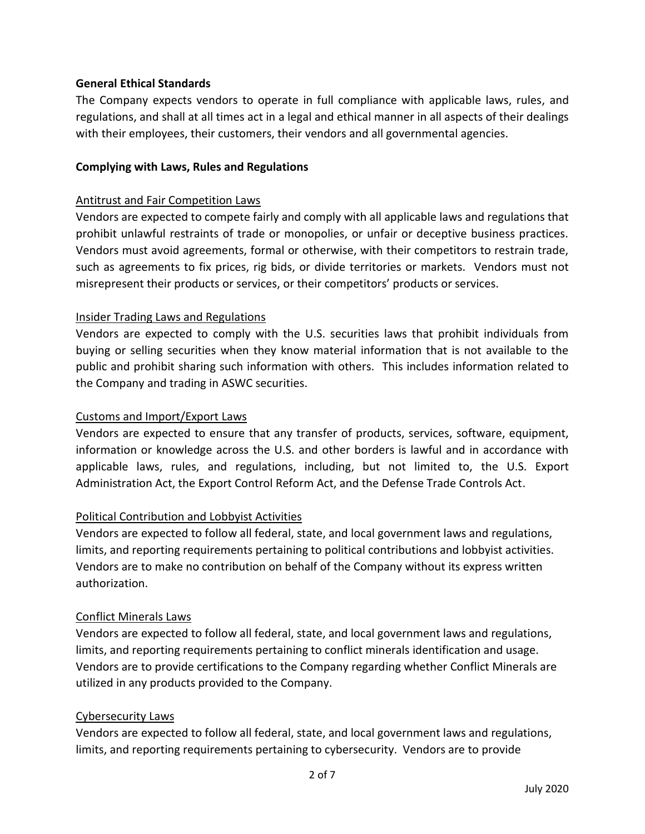# **General Ethical Standards**

The Company expects vendors to operate in full compliance with applicable laws, rules, and regulations, and shall at all times act in a legal and ethical manner in all aspects of their dealings with their employees, their customers, their vendors and all governmental agencies.

### **Complying with Laws, Rules and Regulations**

#### Antitrust and Fair Competition Laws

Vendors are expected to compete fairly and comply with all applicable laws and regulations that prohibit unlawful restraints of trade or monopolies, or unfair or deceptive business practices. Vendors must avoid agreements, formal or otherwise, with their competitors to restrain trade, such as agreements to fix prices, rig bids, or divide territories or markets. Vendors must not misrepresent their products or services, or their competitors' products or services.

### Insider Trading Laws and Regulations

Vendors are expected to comply with the U.S. securities laws that prohibit individuals from buying or selling securities when they know material information that is not available to the public and prohibit sharing such information with others. This includes information related to the Company and trading in ASWC securities.

#### Customs and Import/Export Laws

Vendors are expected to ensure that any transfer of products, services, software, equipment, information or knowledge across the U.S. and other borders is lawful and in accordance with applicable laws, rules, and regulations, including, but not limited to, the U.S. Export Administration Act, the Export Control Reform Act, and the Defense Trade Controls Act.

### Political Contribution and Lobbyist Activities

Vendors are expected to follow all federal, state, and local government laws and regulations, limits, and reporting requirements pertaining to political contributions and lobbyist activities. Vendors are to make no contribution on behalf of the Company without its express written authorization.

#### Conflict Minerals Laws

Vendors are expected to follow all federal, state, and local government laws and regulations, limits, and reporting requirements pertaining to conflict minerals identification and usage. Vendors are to provide certifications to the Company regarding whether Conflict Minerals are utilized in any products provided to the Company.

### Cybersecurity Laws

Vendors are expected to follow all federal, state, and local government laws and regulations, limits, and reporting requirements pertaining to cybersecurity. Vendors are to provide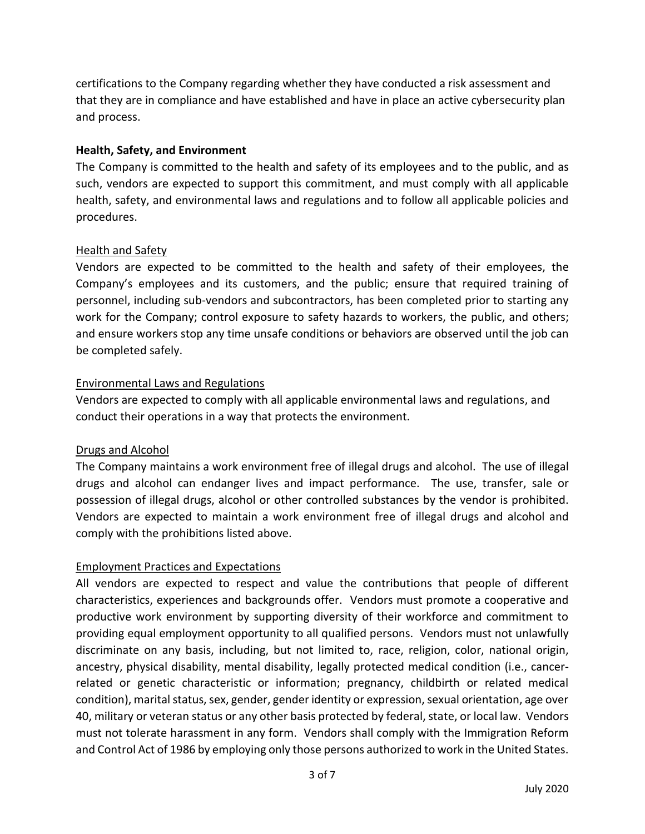certifications to the Company regarding whether they have conducted a risk assessment and that they are in compliance and have established and have in place an active cybersecurity plan and process.

# **Health, Safety, and Environment**

The Company is committed to the health and safety of its employees and to the public, and as such, vendors are expected to support this commitment, and must comply with all applicable health, safety, and environmental laws and regulations and to follow all applicable policies and procedures.

### Health and Safety

Vendors are expected to be committed to the health and safety of their employees, the Company's employees and its customers, and the public; ensure that required training of personnel, including sub-vendors and subcontractors, has been completed prior to starting any work for the Company; control exposure to safety hazards to workers, the public, and others; and ensure workers stop any time unsafe conditions or behaviors are observed until the job can be completed safely.

### Environmental Laws and Regulations

Vendors are expected to comply with all applicable environmental laws and regulations, and conduct their operations in a way that protects the environment.

# Drugs and Alcohol

The Company maintains a work environment free of illegal drugs and alcohol. The use of illegal drugs and alcohol can endanger lives and impact performance. The use, transfer, sale or possession of illegal drugs, alcohol or other controlled substances by the vendor is prohibited. Vendors are expected to maintain a work environment free of illegal drugs and alcohol and comply with the prohibitions listed above.

### Employment Practices and Expectations

All vendors are expected to respect and value the contributions that people of different characteristics, experiences and backgrounds offer. Vendors must promote a cooperative and productive work environment by supporting diversity of their workforce and commitment to providing equal employment opportunity to all qualified persons. Vendors must not unlawfully discriminate on any basis, including, but not limited to, race, religion, color, national origin, ancestry, physical disability, mental disability, legally protected medical condition (i.e., cancerrelated or genetic characteristic or information; pregnancy, childbirth or related medical condition), marital status, sex, gender, gender identity or expression, sexual orientation, age over 40, military or veteran status or any other basis protected by federal, state, or local law. Vendors must not tolerate harassment in any form. Vendors shall comply with the Immigration Reform and Control Act of 1986 by employing only those persons authorized to work in the United States.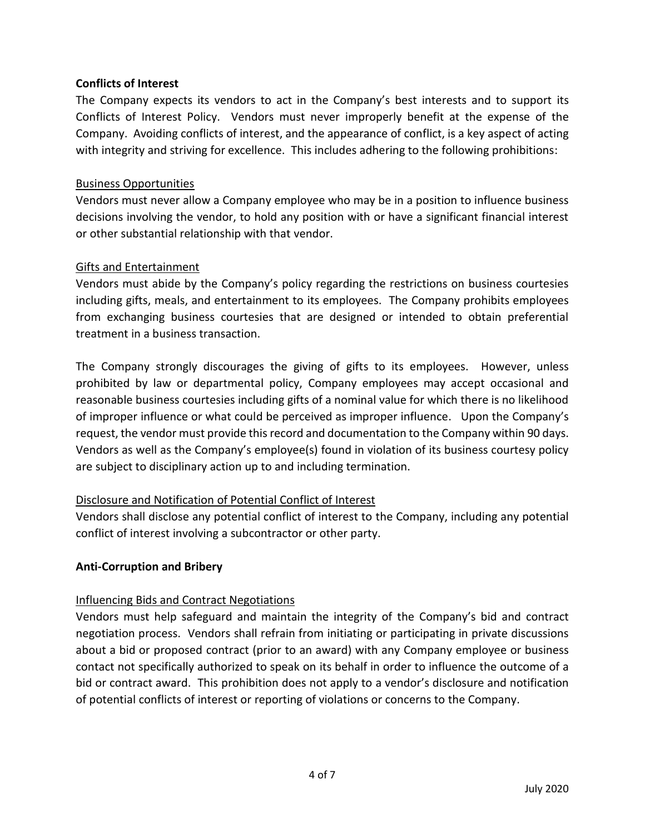# **Conflicts of Interest**

The Company expects its vendors to act in the Company's best interests and to support its Conflicts of Interest Policy. Vendors must never improperly benefit at the expense of the Company. Avoiding conflicts of interest, and the appearance of conflict, is a key aspect of acting with integrity and striving for excellence. This includes adhering to the following prohibitions:

### Business Opportunities

Vendors must never allow a Company employee who may be in a position to influence business decisions involving the vendor, to hold any position with or have a significant financial interest or other substantial relationship with that vendor.

### Gifts and Entertainment

Vendors must abide by the Company's policy regarding the restrictions on business courtesies including gifts, meals, and entertainment to its employees. The Company prohibits employees from exchanging business courtesies that are designed or intended to obtain preferential treatment in a business transaction.

The Company strongly discourages the giving of gifts to its employees. However, unless prohibited by law or departmental policy, Company employees may accept occasional and reasonable business courtesies including gifts of a nominal value for which there is no likelihood of improper influence or what could be perceived as improper influence. Upon the Company's request, the vendor must provide this record and documentation to the Company within 90 days. Vendors as well as the Company's employee(s) found in violation of its business courtesy policy are subject to disciplinary action up to and including termination.

# Disclosure and Notification of Potential Conflict of Interest

Vendors shall disclose any potential conflict of interest to the Company, including any potential conflict of interest involving a subcontractor or other party.

### **Anti-Corruption and Bribery**

# Influencing Bids and Contract Negotiations

Vendors must help safeguard and maintain the integrity of the Company's bid and contract negotiation process. Vendors shall refrain from initiating or participating in private discussions about a bid or proposed contract (prior to an award) with any Company employee or business contact not specifically authorized to speak on its behalf in order to influence the outcome of a bid or contract award. This prohibition does not apply to a vendor's disclosure and notification of potential conflicts of interest or reporting of violations or concerns to the Company.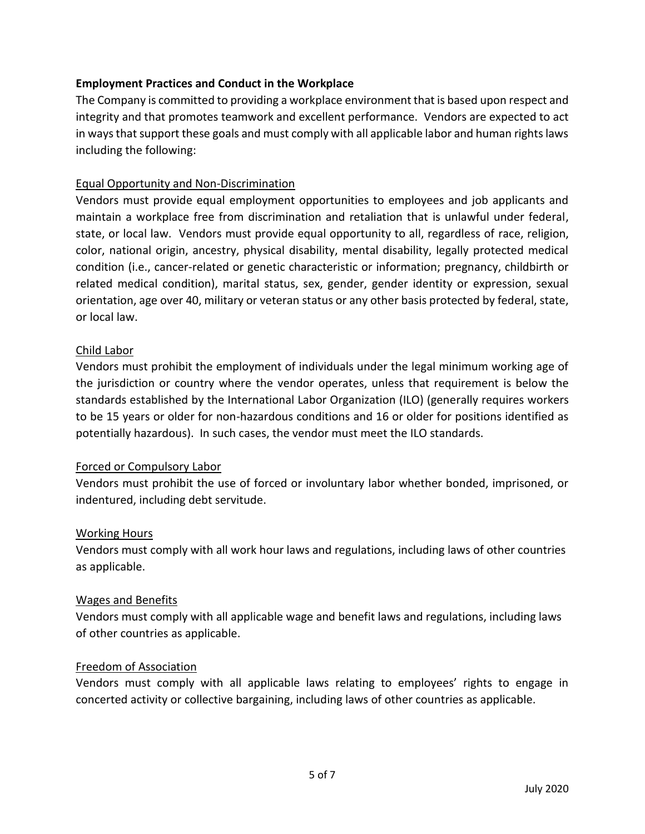# **Employment Practices and Conduct in the Workplace**

The Company is committed to providing a workplace environment that is based upon respect and integrity and that promotes teamwork and excellent performance. Vendors are expected to act in ways that support these goals and must comply with all applicable labor and human rights laws including the following:

# Equal Opportunity and Non-Discrimination

Vendors must provide equal employment opportunities to employees and job applicants and maintain a workplace free from discrimination and retaliation that is unlawful under federal, state, or local law. Vendors must provide equal opportunity to all, regardless of race, religion, color, national origin, ancestry, physical disability, mental disability, legally protected medical condition (i.e., cancer-related or genetic characteristic or information; pregnancy, childbirth or related medical condition), marital status, sex, gender, gender identity or expression, sexual orientation, age over 40, military or veteran status or any other basis protected by federal, state, or local law.

### Child Labor

Vendors must prohibit the employment of individuals under the legal minimum working age of the jurisdiction or country where the vendor operates, unless that requirement is below the standards established by the International Labor Organization (ILO) (generally requires workers to be 15 years or older for non-hazardous conditions and 16 or older for positions identified as potentially hazardous). In such cases, the vendor must meet the ILO standards.

# Forced or Compulsory Labor

Vendors must prohibit the use of forced or involuntary labor whether bonded, imprisoned, or indentured, including debt servitude.

# Working Hours

Vendors must comply with all work hour laws and regulations, including laws of other countries as applicable.

### Wages and Benefits

Vendors must comply with all applicable wage and benefit laws and regulations, including laws of other countries as applicable.

### Freedom of Association

Vendors must comply with all applicable laws relating to employees' rights to engage in concerted activity or collective bargaining, including laws of other countries as applicable.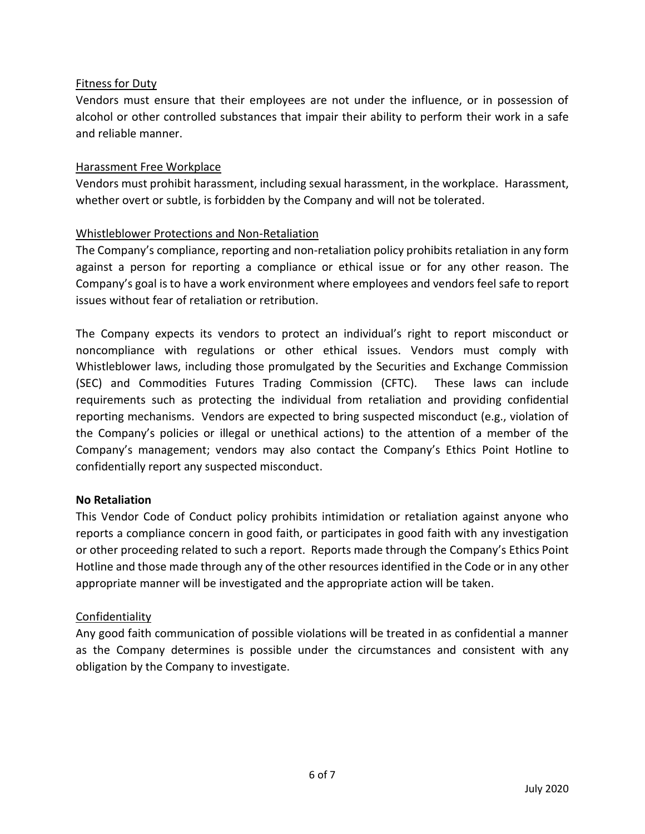# Fitness for Duty

Vendors must ensure that their employees are not under the influence, or in possession of alcohol or other controlled substances that impair their ability to perform their work in a safe and reliable manner.

# Harassment Free Workplace

Vendors must prohibit harassment, including sexual harassment, in the workplace. Harassment, whether overt or subtle, is forbidden by the Company and will not be tolerated.

# Whistleblower Protections and Non-Retaliation

The Company's compliance, reporting and non-retaliation policy prohibits retaliation in any form against a person for reporting a compliance or ethical issue or for any other reason. The Company's goal is to have a work environment where employees and vendors feel safe to report issues without fear of retaliation or retribution.

The Company expects its vendors to protect an individual's right to report misconduct or noncompliance with regulations or other ethical issues. Vendors must comply with Whistleblower laws, including those promulgated by the Securities and Exchange Commission (SEC) and Commodities Futures Trading Commission (CFTC). These laws can include requirements such as protecting the individual from retaliation and providing confidential reporting mechanisms. Vendors are expected to bring suspected misconduct (e.g., violation of the Company's policies or illegal or unethical actions) to the attention of a member of the Company's management; vendors may also contact the Company's Ethics Point Hotline to confidentially report any suspected misconduct.

# **No Retaliation**

This Vendor Code of Conduct policy prohibits intimidation or retaliation against anyone who reports a compliance concern in good faith, or participates in good faith with any investigation or other proceeding related to such a report. Reports made through the Company's Ethics Point Hotline and those made through any of the other resources identified in the Code or in any other appropriate manner will be investigated and the appropriate action will be taken.

# Confidentiality

Any good faith communication of possible violations will be treated in as confidential a manner as the Company determines is possible under the circumstances and consistent with any obligation by the Company to investigate.